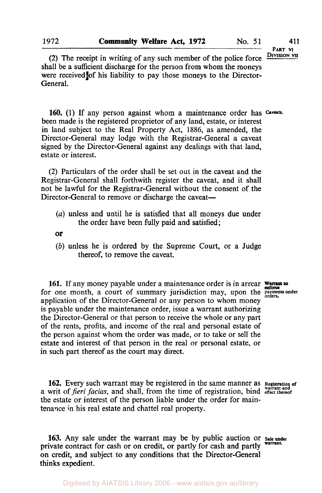**PART VI** 

**(2)** The receipt in writing of any such member of the police force shall be a sufficient discharge for the person from whom the moneys were received of his liability to pay those moneys to the Director-General.

**160. (1)** If any person against whom a maintenance order has *Caveats.*  been made is the registered proprietor of any land, estate, or interest in land subject to the Real Property Act, 1886, as amended, the Director-General may lodge with the Registrar-General a caveat signed by the Director-General against any dealings with that land, estate or interest.

**(2)** Particulars of the order shall be set out in the caveat and the Registrar-General shall forthwith register the caveat, and it shall not be lawful for the Registrar-General without the consent **of** the Director-General to remove or discharge the caveat—

*(a)* unless and until he is satisfied that all moneys due under the order have been fully paid and satisfied;

**Of** 

*(b)* unless he **is** ordered by the Supreme Court, or a Judge thereof, to remove the caveat.

161. If any money payable under a maintenance order is in arrear werent to for one month, a court of summary jurisdiction may, upon the **payments** under application **of** the Director-General or any person to whom money **is** payable under the maintenance order, issue a warrant authorizing the Director-General or that person to receive the whole or any part of the rents, profits, and income of the real and personal estate of the person against whom the order was made, or to take or sell the estate and interest of that person in the real or personal estate, or in such part thereof as the court may direct.

**162.** Every such warrant may be registered in the same manner as  $\kappa_{\text{e}^{\text{stat}}\text{train}}$  of  $\kappa_{\text{crit}}$  fraction and shall from the time of registration bind  $\kappa_{\text{g}^{\text{train}}}\text{and}$ the estate or interest of the person liable under the order for maintenance in his real estate and chattel real property.

**163.** Any sale under the warrant may be by public auction or **Sale under**  private contract for cash or on credit, or partly for cash and partly on credit, and subject to any conditions that the Director-General thinks expedient.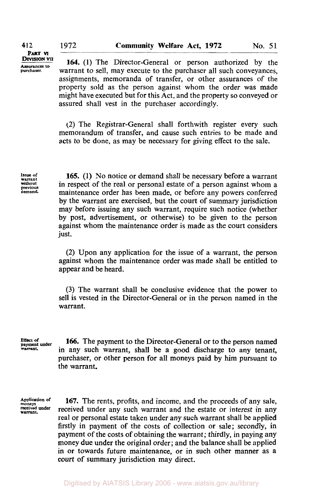**412** 

**DIVISION VII PART VI**  *Assurances* **to purchaser.** 

**164. (1)** The Director-General or person authorized by the warrant to sell, may execute to the purchaser all such conveyances. assignments, memoranda of transfer, or other assurances of the property sold as the person against whom the order was made might have executed but for this Act, and the property *so* conveyed or assured shall vest in the purchaser accordingly.

(2) The Registrar-General shall forthwith register every such memorandum of transfer, and cause such entries to be made and acts to be done, as may be necessary for giving effect to the sale.

**Issue of warrant without previous demand.** 

**165. (1)** No notice or demand shall be necessary before a warrant in respect of the real or personal estate of a person against whom a maintenance order has been made, or before any powers conferred by the warrant are exercised, but the court of summary jurisdiction may before issuing any such warrant, require such notice (whether by post, advertisement, or otherwise) to be given to the person against whom the maintenance order is made as the court considers just.

**(2)** Upon any application for the issue of a warrant, the person against whom the maintenance order was made shall be entitled to appear and be heard.

**(3)** The warrant shall be conclusive evidence that the power to sell is vested in the Director-General or in the person named in the warrant.

**Effect of payment under warrant** 

**166.** The payment to the Director-General or to the person named in any such warrant, shall be a good discharge to any tenant, purchaser, or other person for all moneys paid by him pursuant to the warrant.

Application of **167.** The rents, profits, and income, and the proceeds of any sale, nonegys **received under** received under any such warrant and the estate or interest in any real or personal estate taken under any such warrant shall be applied firstly in payment of the costs of collection or sale; secondly, in payment of the costs of obtaining the warrant; thirdly, in paying any money due under the original order; and the balance shall be applied in or towards future maintenance, or in such other manner as a court of summary jurisdiction may direct.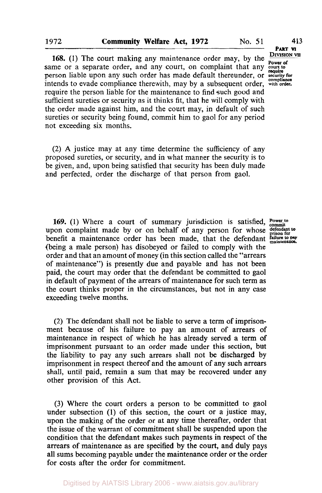**168.** (1) The court making any maintenance order may, by the same or a separate order, and any court, on complaint that any court to person liable upon any such order has made default thereunder, or **security** for **property** for **property** for **compliance** intends to evade compliance therewith, may by a subsequent order, **with order.**  require the person liable for the maintenance to find such good and sufficient sureties or security as it thinks fit, that he will comply with the order made against him, and the court may, in default of such sureties or security being found, commit him to gaol for any period not exceeding six months.

(2) **A** justice may at any time determine the sufficiency of any proposed sureties, or security, and in what manner the security is to be given, and, upon being satisfied that security has been duly made and perfected, order the discharge of that person from gaol.

**169.** (1) Where a court of summary jurisdiction is satisfied, **Power to** upon complaint made by or on behalf of any person for whose defendant to benefit a maintenance order has been made, that the defendant *failure* to pay (being a male person) has disobeyed or failed to comply with the order and that an amount of money (in this section called the "arrears of maintenance") is presently due and payable and has not been paid, the court may order that the defendant be committed to gaol in default of payment of the arrears of maintenance for such term as the court thinks proper in the circumstances, but not in any case exceeding twelve months.

(2) The defendant shall not be liable to serve a term of imprisonment because of his failure to pay an amount of arrears of maintenance in respect of which he has already served a term *of*  imprisonment pursuant to an order made under this section, but the liability to pay any such arrears shall not be discharged by imprisonment in respect thereof and the amount of any such arrears shall, until paid, remain a sum that may be recovered under any other provision of this Act.

(3) Where the court orders a person to be committed to gaol under subsection (1) of this section, the court or a justice may, upon the making of the order or at any time thereafter, order that the issue of the warrant of commitment shall be suspended upon the condition that the defendant makes such payments in respect of the arrears of maintenance as are specified by the court, and duly pays all sums becoming payable under the maintenance order or the order for costs after the order for commitment.

**DIVISION VII PART VI require**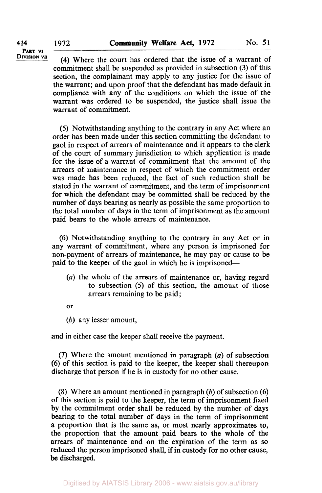**414** 

**DIVISION VII PART VI** 

**(4)** Where the court has ordered that the issue of a warrant of commitment shall be suspended as provided in subsection (3) of this section, the complainant may apply to any justice for the issue of the warrant; and upon proof that the defendant has made default in compliance with any of the conditions on which the issue of the warrant was ordered to be suspended, the justice shall issue the warrant of commitment.

*(5)* Notwithstanding anything to the contrary in any Act where an order has been made under this section committing the defendant to gaol in respect of arrears of maintenance and it appears to the clerk of the court of summary jurisdiction to which application is made for the issue of a warrant of commitment that the amount of the arrears of maintenance in respect of which the commitment order was made has been reduced, the fact of such reduction shall be stated in the warrant of commitment, and the term of imprisonment for which the defendant may be committed shall be reduced by the number of days bearing as nearly as possible the same proportion to the total number of days in the term of imprisonment as the amount paid bears to the whole arrears of maintenance.

(6) Notwithstanding anything to the contrary in any Act or in any warrant of commitment, where any person is imprisoned for non-payment of arrears of maintenance, he may pay or cause to be paid to the keeper of the gaol in which he is imprisoned—

- *(a)* the whole of the arrears of maintenance or, having regard to subsection *(5)* of this section, the amount of those arrears remaining to be paid;
- or
- (b) any lesser amount,

and in either case the keeper shall receive the payment.

(7) Where the amount mentioned in paragraph *(a)* of subsection (6) of this section is paid to the keeper, the keeper shall thereupon discharge that person if he is in custody for no other cause.

(8) Where an amount mentioned in paragraph  $(b)$  of subsection  $(6)$ of this section is paid to the keeper, the term of imprisonment fixed by the commitment order shall be reduced by the number of days bearing to the total number of days in the term of imprisonment a proportion that is the same as, or most nearly approximates to, the proportion that the amount paid bears to the whole of the arrears of maintenance and on the expiration of the term as so reduced the person imprisoned shall, if in custody for no other cause, be discharged.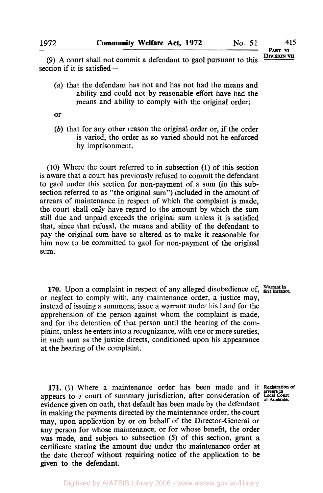**PART VI** 

**DIVISION** (9) **A** court shall not commit a defendant to gaol pursuant to this section if it is satisfied-

- *(a)* that the defendant has not and has not had the means and ability and could not by reasonable effort have had the means and ability to comply with the original order;
- or
- $(b)$  that for any other reason the original order or, if the order is varied, the order as *so* varied should not be enforced by imprisonment.

(10) Where the court referred to in subsection (1) of this section is aware that a court has previously refused to commit the defendant to gaol under this section for non-payment of a sum (in this subsection referred to as "the original sum") included in the amount of arrears of maintenance in respect of which the complaint **is** made, the court shall only have regard to the amount by which the sum still due and unpaid exceeds the original sum unless it **is** satisfied that, since that refusal, the means and ability of the defendant to pay the original sum have so altered as to make it reasonable for him now to be committed to gaol for non-payment of the original sum.

**170.** Upon a complaint in respect of any alleged disobedience of, Warrant in or neglect to comply with, any maintenance order, a justice may, instead of issuing a summons, issue a warrant under his hand for the apprehension of the person against whom the complaint is made, and for the detention of that person until the hearing of the complaint, unless he enters into a recognizance, with one or more sureties, in such sum as the justice directs, conditioned upon his appearance at the hearing of the complaint.

**171.** (1) Where a maintenance order has been made and it Registration of appears to a court of summary jurisdiction, after consideration of Local Court of Adelaide evidence given on oath, that default has been made by the defendant in making the payments directed by the maintenance order, the court may, upon application by or on behalf of the Director-General or any person for whose maintenance, or for whose benefit, the order was made, and subject to subsection *(5)* of this section, grant a certificate stating the amount due under the maintenance order at the date thereof without requiring notice of the application to be given to the defendant.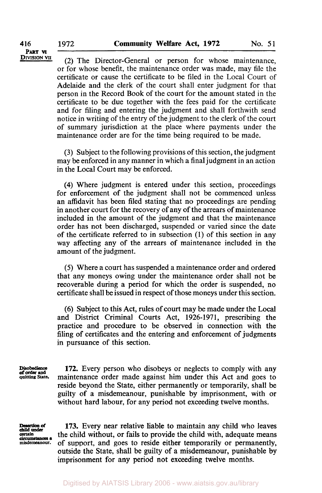**<u>DIVISION VII</u>** (2) The Director-General or person for whose maintenance, or for whose benefit, the maintenance order was made, may file the certificate or cause the certificate to be filed in the Local Court of Adelaide and the clerk of the court shall enter judgment for that person in the Record **Book** of the court for the amount stated in the certificate to be due together with the fees paid for the certificate and for filing and entering the judgment and shall forthwith send notice in writing of the entry of the judgment to the clerk of the court of summary jurisdiction at the place where payments under the maintenance order are for the time being required to be made.

> **(3)** Subject to the following provisions of this section, the judgment may be enforced in any manner in which a final judgment in an action in the Local Court may be enforced.

> **(4)** Where judgment is entered under this section, proceedings for enforcement of the judgment shall not be commenced unless an affidavit has been filed stating that no proceedings are pending in another court for the recovery of any of the arrears of maintenance included in the amount of the judgment and that the maintenance order has not been discharged, suspended or varied since the date of the certificate referred to in subsection **(1)** of this section in any way affecting any of the arrears of maintenance included in the amount of the judgment.

> (5) Where a court has suspended a maintenance order and ordered that any moneys owing under the maintenance order shall not be recoverable during a period for which the order **is** suspended, no certificate shall be issued in respect of those moneys under this section.

> (6) Subject to this Act, rules of court may be made under the Local and District Criminal Courts Act, **1926-1971,** prescribing the practice and procedure to be observed in connection with the filing of certificates and the entering and enforcement of judgments in pursuance of this section.

Disobedience **quitting State. of order and** 

**172.** Every person who disobeys or neglects to comply with any maintenance order made against him under this Act and goes to reside beyond the State, either permanently or temporarily, shall be guilty of a misdemeanour, punishable by imprisonment, with or without hard labour, for any period not exceeding twelve months.

*child* **under**  *circumstances* **a** 

**173.** Every near relative liable to maintain any child who leaves *certain* the child without, **or** fails to provide the child with, adequate means of support, and goes to reside either temporarily or permanently, outside the State, shall be guilty of a misdemeanour, punishable by imprisonment for any period not exceeding twelve months.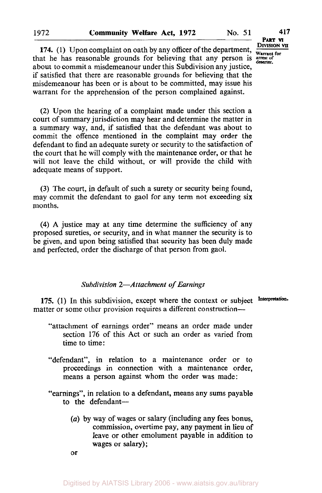**174.** (1) Upon complaint on oath by any officer of the department,  $\frac{D_{IVISION} \text{ var}}{W_{\text{arrant for}}}$  at he has reasonable grounds for believing that any person is arrest of that he has reasonable grounds for believing that any person is arrest of about to commit a misdemeanour under this Subdivision any justice, if satisfied that there are reasonable grounds for believing that the misdemeanour has been or is about to be committed, may issue his warrant for the apprehension of the person complained against.

**(2)** Upon the hearing of a complaint made under this section a court of summary jurisdiction may hear and determine the matter in a summary way, and, if satisfied that the defendant was about to commit the offence mentioned in the complaint may order the defendant to find an adequate surety or security to the satisfaction of the court that he will comply with the maintenance order, or that he will not leave the child without, or will provide the child with adequate means of support.

**(3)** The court, in default of such a surety or security being found, may commit the defendant **to** gaol for any term not exceeding six months.

**(4)** A justice may at any time determine the sufficiency of any proposed sureties, or security, and in what manner the security is to be given, and upon being satisfied that security has been duly made and perfected, order the discharge of that person from gaol.

## *Subdivision 2-Attachment of Earnings*

175. (1) In this subdivision, except where the context or subject Interpretation. matter or some other provision requires a different construction-

- "attachment of earnings order" means an order made under section 176 of this Act or such an order as varied from time to time:
- "defendant", in relation to a maintenance order or to proceedings in connection with a maintenance order, means a person against whom the order was made:
- "earnings", in relation to a defendant, means any sums payable to the defendant-
	- *(a)* by way of wages or salary (including any fees bonus, commission, overtime pay, any payment in lieu **of**  leave or other emolument payable in addition to wages or salary);

Digitised by AIATSIS Library 2006 - www.aiatsis.gov.au/library

or

**PART VI**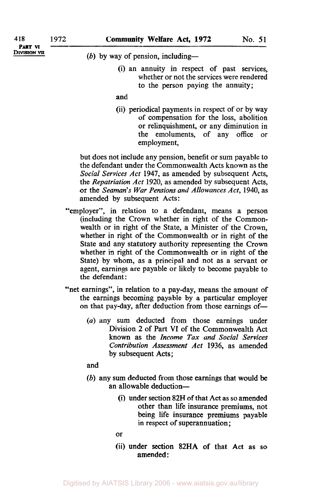**PART VI** 

**DIVISION VII** *(b)* by way of pension, including-

(i) an annuity in respect of past services, whether or not the services were rendered to the person paying the annuity;

## and

(ii) periodical payments in respect of or by way of compensation for the loss, abolition or relinquishment, or any diminution in the emoluments, of any **office** or employment,

but does not include any pension, benefit or sum payable to the defendant under the Commonwealth Acts known as the *Social Services Act* **1947,** as amended by subsequent Acts, the *Repatriation Act* **1920,** as amended by subsequent Acts, or the *Seaman's* War *Pensions and Allowances Act,* **1940,** as amended by subsequent Acts:

- "employer", in relation to a defendant, means a person (including the Crown whether in right of the Commonwealth or in right of the State, a Minister of the Crown, whether in right of the Commonwealth or in right of the State and any statutory authority representing the Crown whether in right of the Commonwealth or in right of the State) by whom, as a principal and not as a servant or agent, earnings are payable or likely to become payable to the defendant:
- "net earnings", in relation to a pay-day, means the amount of the earnings becoming payable by a particular employer on that pay-day, after deduction from those earnings of-
	- *(a)* any sum deducted from those earnings under Division **2** of Part **VI** of the Commonwealth Act known as the *Income Tax and Social Services Contribution Assessment Act* **1936,** as amended by subsequent Acts;

and

- *(b)* any sum deducted from those earnings that would be an allowable deduction-
	- (i) under section **82H** of that Act as so amended other than life insurance premiums, not being life insurance premiums payable in respect of superannuation ;
	- **or**
	- (ii) under section 82HA of that Act as so amended :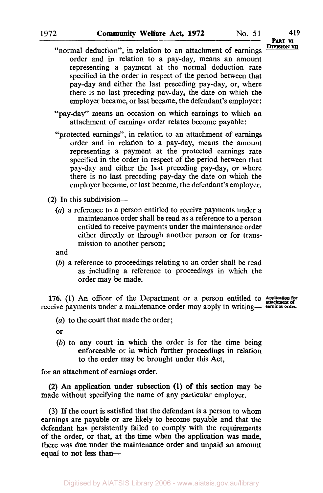**DIVISION VII PART VI** 

- "normal deduction", in relation to an attachment of earnings order and in relation to a pay-day, means an amount representing a payment at the normal deduction rate specified in the order in respect of the period between that pay-day and either the last preceding pay-day, or, where there is no last preceding pay-day, the date on which the employer became, or last became, the defendant's employer:
- "pay-day" means an occasion on which earnings to which an attachment of earnings order relates become payable :
- "protected earnings", in relation to an attachment of earnings order and in relation to a pay-day, means the amount representing a payment at the protected earnings rate specified in the order in respect of the period between that pay-day and either the last preceding pay-day, or where there is no last preceding pay-day the date on which the employer became, or last became, the defendant's employer.
- **(2)** In this subdivision-
	- *(a)* a reference to a person entitled to receive payments under a maintenance order shall be read as a reference to a person entitled to receive payments under the maintenance order either directly or through another person or for transmission to another person;

and

*(b)* a reference to proceedings relating to an order shall be read as including a reference to proceedings in which the order may be made.

**176. (1)** An officer of the Department or a person entitled to receive payments under a maintenance order may apply in writing- **earnings** *order* 

*(a)* to the court that made the order;

or

*(b)* to any court in which the order is for the time being enforceable or in which further proceedings in relation to the order may be brought under this Act,

for an attachment of earnings order.

made without specifying the name of any particular employer. **(2)** An application under subsection (1) of this section may be

**(3) If** the court is satisfied that the defendant **is** a person to whom earnings are payable or are likely to become payable and that the defendant has persistently failed to comply with the requirements of the order, or that, at the time when the application was made, there was due under the maintenance order and unpaid an amount equal to not less than-